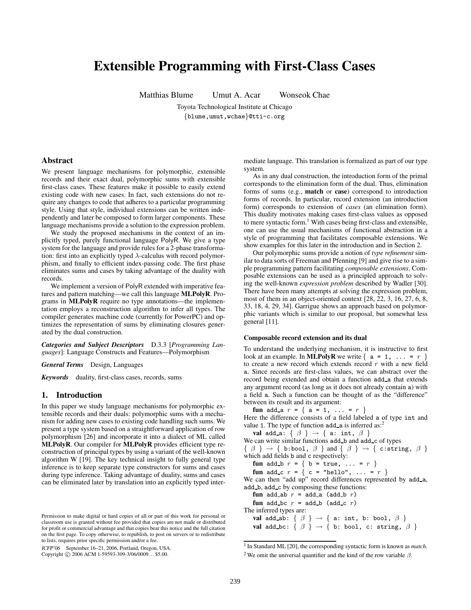# **Extensible Programming with First-Class Cases**

Matthias Blume Umut A. Acar Wonseok Chae

Toyota Technological Institute at Chicago {blume,umut,wchae}@tti-c.org

## **Abstract**

We present language mechanisms for polymorphic, extensible records and their exact dual, polymorphic sums with extensible first-class cases. These features make it possible to easily extend existing code with new cases. In fact, such extensions do not require any changes to code that adheres to a particular programming style. Using that style, individual extensions can be written independently and later be composed to form larger components. These language mechanisms provide a solution to the expression problem.

We study the proposed mechanisms in the context of an implicitly typed, purely functional language PolyR. We give a type system for the language and provide rules for a 2-phase transformation: first into an explicitly typed  $\lambda$ -calculus with record polymorphism, and finally to efficient index-passing code. The first phase eliminates sums and cases by taking advantage of the duality with records.

We implement a version of PolyR extended with imperative features and pattern matching—we call this language **MLPolyR**. Programs in **MLPolyR** require no type annotations—the implementation employs a reconstruction algorithm to infer all types. The compiler generates machine code (currently for PowerPC) and optimizes the representation of sums by eliminating closures generated by the dual construction.

*Categories and Subject Descriptors* D.3.3 [*Programming Languages*]: Language Constructs and Features—Polymorphism

*General Terms* Design, Languages

*Keywords* duality, first-class cases, records, sums

## **1. Introduction**

In this paper we study language mechanisms for polymorphic extensible records and their duals: polymorphic sums with a mechanism for adding new cases to existing code handling such sums. We present a type system based on a straightforward application of row polymorphism [26] and incorporate it into a dialect of ML called **MLPolyR**. Our compiler for **MLPolyR** provides efficient type reconstruction of principal types by using a variant of the well-known algorithm W [19]. The key technical insight to fully general type inference is to keep separate type constructors for sums and cases during type inference. Taking advantage of duality, sums and cases can be eliminated later by translation into an explicitly typed inter-

ICFP'06 September 16–21, 2006, Portland, Oregon, USA.

Copyright © 2006 ACM 1-59593-309-3/06/0009... \$5.00.

mediate language. This translation is formalized as part of our type system.

As in any dual construction, the introduction form of the primal corresponds to the elimination form of the dual. Thus, elimination forms of sums (e.g., **match** or **case**) correspond to introduction forms of records. In particular, record extension (an introduction form) corresponds to extension of *cases* (an elimination form). This duality motivates making cases first-class values as opposed to mere syntactic form. $<sup>1</sup>$  With cases being first-class and extensible,</sup> one can use the usual mechanisms of functional abstraction in a style of programming that facilitates composable extensions. We show examples for this later in the introduction and in Section 2.

Our polymorphic sums provide a notion of *type refinement* similar to data sorts of Freeman and Pfenning [9] and give rise to a simple programming pattern facilitating *composable extensions*. Composable extensions can be used as a principled approach to solving the well-known *expression problem* described by Wadler [30]. There have been many attempts at solving the expression problem, most of them in an object-oriented context [28, 22, 3, 16, 27, 6, 8, 33, 18, 4, 29, 34]. Garrigue shows an approach based on polymorphic variants which is similar to our proposal, but somewhat less general [11].

# **Composable record extension and its dual**

To understand the underlying mechanism, it is instructive to first look at an example. In **MLPolyR** we write  $\{a = 1, \ldots = r \}$ to create a new record which extends record  $r$  with a new field a. Since records are first-class values, we can abstract over the record being extended and obtain a function add a that extends any argument record (as long as it does not already contain a) with a field a. Such a function can be thought of as the "difference" between its result and its argument:

**fun** add a  $r = \{ a = 1, ... = r \}$ Here the difference consists of a field labeled a of type int and value 1. The type of function  $add_a$  is inferred as:<sup>2</sup>

**val** add a: {  $\beta$  }  $\rightarrow$  { a: int,  $\beta$  }

We can write similar functions add b and add c of types  ${ \beta \} \rightarrow { \beta \text{ is } } \beta \}$  and  ${ \beta \} \rightarrow { \epsilon \text{:string, } } \beta \}$ which add fields b and c respectively:

**fun** add  $r = \{ b = true, ... = r \}$ 

**fun** add\_c  $r = \{ c = "hello", \ldots = r \}$ We can then "add up" record differences represented by add\_a, add b, add c by composing these functions:

fun add ab  $r =$  add a (add b  $r$ ) fun add bc  $r =$  add b (add c  $r$ )

The inferred types are:

**val** add\_ab: {  $\beta$  }  $\rightarrow$  { a: int, b: bool,  $\beta$  } **val** add bc:  $\{\beta\} \rightarrow \{\text{b: bool}, \text{c: string}, \beta\}$ 

Permission to make digital or hard copies of all or part of this work for personal or classroom use is granted without fee provided that copies are not made or distributed for profit or commercial advantage and that copies bear this notice and the full citation on the first page. To copy otherwise, to republish, to post on servers or to redistribute to lists, requires prior specific permission and/or a fee.

<sup>1</sup> In Standard ML [20], the corresponding syntactic form is known as *match*.

<sup>&</sup>lt;sup>2</sup> We omit the universal quantifier and the kind of the row variable  $\beta$ .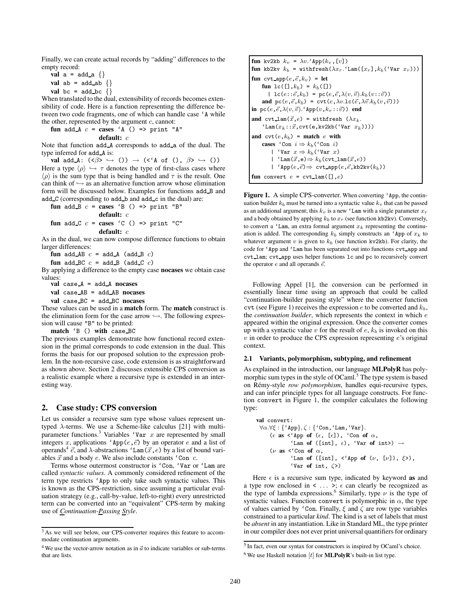Finally, we can create actual records by "adding" differences to the empty record:

**val**  $a = add_a \{ \}$ 

**val** ab =  $add$  ab  $\{\}$ 

**val** bc =  $add_bc$  {}

When translated to the dual, extensibility of records becomes extensibility of code. Here is a function representing the difference between two code fragments, one of which can handle case 'A while the other, represented by the argument  $c$ , cannot:

```
fun add A c = cases 'A () => print "A"
              default: c
```
Note that function add A corresponds to add a of the dual. The type inferred for add  $A$  is:

**val** add A:  $(\langle \beta \rangle \hookrightarrow$  ())  $\rightarrow$   $(\langle ^{t}A \circ f$  (),  $\beta \rangle \hookrightarrow$  ()) Here a type  $\langle \rho \rangle \leftrightarrow \tau$  denotes the type of first-class cases where  $\langle \rho \rangle$  is the sum type that is being handled and  $\tau$  is the result. One can think of  $\hookrightarrow$  as an alternative function arrow whose elimination form will be discussed below. Examples for functions add B and add C (corresponding to add b and add c in the dual) are:

fun add  $B c = \text{cases}$  'B () => print "B"

**default:** c

fun add  $C$   $c$  = cases  $C$   $C$   $\Rightarrow$  print "C" **default:** c

As in the dual, we can now compose difference functions to obtain larger differences:

 $fun$  add  $AB$   $c$  = add  $A$  (add  $B$   $c$ )

fun add BC  $c =$  add B (add C  $c$ )

By applying a difference to the empty case **nocases** we obtain case values:

**val** case A = add A **nocases**

**val** case AB = add AB **nocases**

**val** case BC = add BC **nocases**

These values can be used in a **match** form. The **match** construct is the elimination form for the case arrow  $\hookrightarrow$ . The following expression will cause "B" to be printed:

**match** 'B () **with** case BC

The previous examples demonstrate how functional record extension in the primal corresponds to code extension in the dual. This forms the basis for our proposed solution to the expression problem. In the non-recursive case, code extension is as straightforward as shown above. Section 2 discusses extensible CPS conversion as a realistic example where a recursive type is extended in an interesting way.

# **2. Case study: CPS conversion**

Let us consider a recursive sum type whose values represent untyped  $\lambda$ -terms. We use a Scheme-like calculus [21] with multiparameter functions.<sup>3</sup> Variables 'Var  $x$  are represented by small integers x, applications 'App( $e, \vec{e}$ ) by an operator e and a list of operands<sup>4</sup>  $\vec{e}$ , and  $\lambda$ -abstractions 'Lam( $\vec{x}$ ,  $e$ ) by a list of bound variables  $\vec{x}$  and a body  $e$ . We also include constants 'Con  $c$ .

Terms whose outermost constructor is 'Con, 'Var or 'Lam are called *syntactic values*. A commonly considered refinement of the term type restricts 'App to only take such syntactic values. This is known as the CPS-restriction, since assuming a particular evaluation strategy (e.g., call-by-value, left-to-right) every unrestricted term can be converted into an "equivalent" CPS-term by making use of *Continuation-Passing Style*.

```
fun kv2kb k_v = \lambda v. 'App(k_v, [v])
fun kb2kv k_b = withfresh(\lambda x_r).'Lam([x_r], k_b('Var x_r)))
fun cvt_app(e, \vec{e}, k_v) = let
     fun lc([], k_b) = k_b([])| lc(e::\vec{e}, k_b) = pc(e,\vec{e}, \lambda(v, \vec{v}).k_b(v::\vec{v}))
     and pc(e, \vec{e}, k_b) = \text{cvt}(e, \lambda v \cdot \text{lc}(\vec{e}, \lambda \vec{v}.k_b(v, \vec{v})))in \text{pc}(e, \vec{e}, \lambda(v, \vec{v}). 'App(v, k_v : : \vec{v})) end
and cvt lam(\vec{x},e) = withfresh (\lambda x_k).
     'Lam(x_k::\vec{x},\text{cvt}(e,\text{kv2kb}('Var x_k))))and \cot(e, k_b) = match e with
     cases 'Con i \Rightarrow k_b ('Con i)
         | 'Var x \Rightarrow k_b('Var x)
         | 'Lam(\vec{x},e) \Rightarrow k_b(cvt_lam(\vec{x},e))
          | 'App(e, \vec{e}) \Rightarrow cvt_app(e, \vec{e}, kb2kv(k_b))fun convert e = \text{cut} \text{lam}([], e)
```
Figure 1. A simple CPS-converter. When converting 'App, the continuation builder  $k_b$  must be turned into a syntactic value  $k_v$  that can be passed as an additional argument; this  $k_v$  is a new 'Lam with a single parameter  $x_r$ and a body obtained by applying  $k_b$  to  $x_r$  (see function kb2kv). Conversely, to convert a 'Lam, an extra formal argument  $x_k$  representing the continuation is added. The corresponding  $k_b$  simply constructs an 'App of  $x_k$  to whatever argument v is given to  $k_b$  (see function kv2kb). For clarity, the code for 'App and 'Lam has been separated out into functions cvt app and cvt lam; cvt app uses helper functions lc and pc to recursively convert the operator  $e$  and all operands  $\vec{e}$ .

Following Appel [1], the conversion can be performed in essentially linear time using an approach that could be called "continuation-builder passing style" where the converter function cvt (see Figure 1) receives the expression e to be converted and  $k_b$ , the *continuation builder*, which represents the context in which e appeared within the original expression. Once the converter comes up with a syntactic value  $v$  for the result of  $e$ ,  $k_b$  is invoked on this  $v$  in order to produce the CPS expression representing  $e$ 's original context.

## **2.1 Variants, polymorphism, subtyping, and refinement**

As explained in the introduction, our language **MLPolyR** has polymorphic sum types in the style of OCaml.<sup>5</sup> The type system is based on Rémy-style *row polymorphism*, handles equi-recursive types, and can infer principle types for all language constructs. For function convert in Figure 1, the compiler calculates the following type:

```
val convert:
 \forall \alpha. \forall \xi: \{\texttt{`App}\}, \zeta: \{\texttt{`Con, `Lam, `Var}\}.(\epsilon \text{ as } \leq \text{App of } (\epsilon, [\epsilon]), \text{ 'Con of } \alpha,'Lam of ([int], \epsilon), 'Var of int>) \rightarrow(ν as <'Con of α,
                   'Lam of ([int], \langle'App of (\nu, [\nu]), \xi \rangle),
                   'Var of int, ζ>)
```
Here  $\epsilon$  is a recursive sum type, indicated by keyword **as** and a type row enclosed in  $\langle \ldots \rangle$ ;  $\epsilon$  can clearly be recognized as the type of lambda expressions.<sup>6</sup> Similarly, type  $\nu$  is the type of syntactic values. Function convert is polymorphic in  $\alpha$ , the type of values carried by 'Con. Finally,  $\xi$  and  $\zeta$  are row type variables constrained to a particular *kind*. The kind is a set of labels that must be *absent* in any instantiation. Like in Standard ML, the type printer in our compiler does not ever print universal quantifiers for ordinary

<sup>&</sup>lt;sup>3</sup> As we will see below, our CPS-converter requires this feature to accommodate continuation arguments.

<sup>&</sup>lt;sup>4</sup> We use the vector-arrow notation as in  $\vec{a}$  to indicate variables or sub-terms that are lists.

<sup>5</sup> In fact, even our syntax for constructors is inspired by OCaml's choice.  $6$  We use Haskell notation [t] for **MLPolyR**'s built-in list type.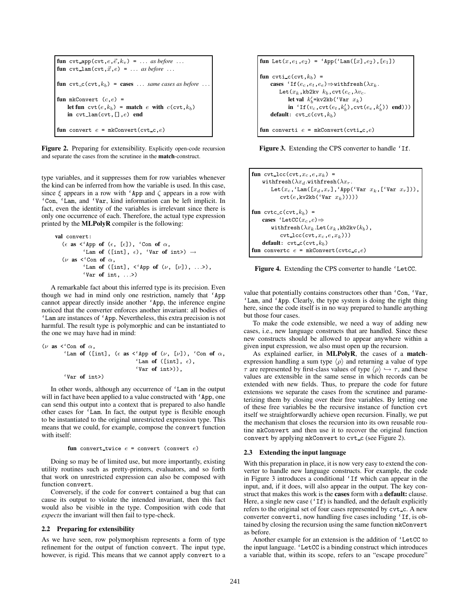fun cvt\_app(cvt, $e$ , $\vec{e}$ , $k_v$ ) = ... *as before* ... fun cvt\_lam(cvt, $\vec{x}, e$ ) = ... *as before* ... **fun**  $\text{cut}_c(\text{cut}, k_b) = \text{cases} \dots$  *same cases as before* ... **fun** mkConvert  $(c,e)$  = **let fun**  $\cot(e, k_b)$  = **match** e **with**  $c(\cot k_b)$ **in** cvt lam(cvt,[],e) **end** fun convert  $e = mkConvert(cvt_c,e)$ 

**Figure 2.** Preparing for extensibility. Explicitly open-code recursion and separate the cases from the scrutinee in the **match**-construct.

type variables, and it suppresses them for row variables whenever the kind can be inferred from how the variable is used. In this case, since  $\xi$  appears in a row with 'App and  $\zeta$  appears in a row with 'Con, 'Lam, and 'Var, kind information can be left implicit. In fact, even the identity of the variables is irrelevant since there is only one occurrence of each. Therefore, the actual type expression printed by the **MLPolyR** compiler is the following:

```
val convert:
   (\epsilon \text{ as } \leq \text{App of } (\epsilon, [\epsilon]), 'Con of \alpha,
             'Lam of ([int], \epsilon), 'Var of int>) \rightarrow(\nu as <'Con of \alpha,
             'Lam of ([int], <'App of (ν, [ν]), ...>),
             'Var of int, ...>)
```
A remarkable fact about this inferred type is its precision. Even though we had in mind only one restriction, namely that 'App cannot appear directly inside another 'App, the inference engine noticed that the converter enforces another invariant: all bodies of 'Lam are instances of 'App. Nevertheless, this extra precision is not harmful. The result type is polymorphic and can be instantiated to the one we may have had in mind:

```
(\nu as <'Con of \alpha,
         'Lam of ([int], (\epsilon as <'App of (\nu, [\nu]), 'Con of \alpha,
                                      'Lam of ([int], \epsilon),
                                      'Var of int>)),
         'Var of int>)
```
In other words, although any occurrence of 'Lam in the output will in fact have been applied to a value constructed with 'App, one can send this output into a context that is prepared to also handle other cases for 'Lam. In fact, the output type is flexible enough to be instantiated to the original unrestricted expression type. This means that we could, for example, compose the convert function with itself:

```
fun convert_twice e = convert (convert e)
```
Doing so may be of limited use, but more importantly, existing utility routines such as pretty-printers, evaluators, and so forth that work on unrestricted expression can also be composed with function convert.

Conversely, if the code for convert contained a bug that can cause its output to violate the intended invariant, then this fact would also be visible in the type. Composition with code that *expects* the invariant will then fail to type-check.

#### **2.2 Preparing for extensibility**

As we have seen, row polymorphism represents a form of type refinement for the output of function convert. The input type, however, is rigid. This means that we cannot apply convert to a

```
fun Let(x, e_1, e_2) = 'App('Lam([x],e_2),[e_1])
fun cvti_c(cvt,k_b) =
    cases 'If(e_c,e_t,e_e)\Rightarrowwithfresh(\lambda x_k.
       Let(x_k,kb2kv k_b,cvt(e_c,\lambda v_c.
            let val k'_b=kv2kb('Var x_k)
            in 'If(v_c,cvt(e_t,k_b'),cvt(e_e,k_b')) end)))
    default: \text{cut}_c(\text{cut}, k_b)fun converti e = mkConvert(cvtic,e)
```


```
fun cvt_lcc(cvt,x_c,e,x_k) =
    withfresh(\lambda x_d.withfresh(\lambda x_r).
       Let(x_c, 'Lam([x_d, x_r], 'App('Var x_k, ['Var x_r])),
            \text{cvt}(e, \text{kv2kb}('Var x_k))))fun cvtc_c(cvt,k_b) =
    cases 'LetCC(x_c, e) \Rightarrowwithfresh(\lambda x_k.Let(x_k, kb2kv(k_b),
            \text{cut\_lcc}(\text{cut},x_c,e,x_k))default: \text{cvt}_c(\text{cvt}, k_b)fun convertc e = mkConvert(cvtc, c, e)
```
**Figure 4.** Extending the CPS converter to handle 'LetCC.

value that potentially contains constructors other than 'Con, 'Var, 'Lam, and 'App. Clearly, the type system is doing the right thing here, since the code itself is in no way prepared to handle anything but those four cases.

To make the code extensible, we need a way of adding new cases, i.e., new language constructs that are handled. Since these new constructs should be allowed to appear anywhere within a given input expression, we also must open up the recursion.

As explained earlier, in **MLPolyR**, the cases of a **match**expression handling a sum type  $\langle \rho \rangle$  and returning a value of type  $\tau$  are represented by first-class values of type  $\langle \rho \rangle \hookrightarrow \tau$ , and these values are extensible in the same sense in which records can be extended with new fields. Thus, to prepare the code for future extensions we separate the cases from the scrutinee and parameterizing them by closing over their free variables. By letting one of these free variables be the recursive instance of function cvt itself we straightforwardly achieve open recursion. Finally, we put the mechanism that closes the recursion into its own reusable routine mkConvert and then use it to recover the original function convert by applying mkConvert to cvt\_c (see Figure 2).

## **2.3 Extending the input language**

With this preparation in place, it is now very easy to extend the converter to handle new language constructs. For example, the code in Figure 3 introduces a conditional 'If which can appear in the input, and, if it does, will also appear in the output. The key construct that makes this work is the **cases** form with a **default:** clause. Here, a single new case ('If) is handled, and the default explicitly refers to the original set of four cases represented by cvt c. A new converter converti, now handling five cases including 'If, is obtained by closing the recursion using the same function mkConvert as before.

Another example for an extension is the addition of 'LetCC to the input language. 'LetCC is a binding construct which introduces a variable that, within its scope, refers to an "escape procedure"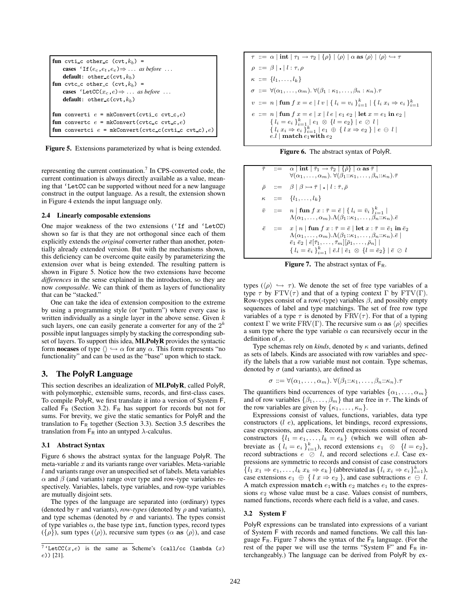```
{\bf f}un cvti c other c (cvt,k_b) =
   cases 'If(e_c, e_t, e_e) \Rightarrow ... as before ...
    default: other c (cvt, k_b)
fun cvtc_c other_c (cvt,k_b) =
    cases 'LetCC(x_c,e)\Rightarrow ... as before ...
    default: other c (cvt, k_b)
fun converti e = mkConvert(cvti c cvt c,e)
{\bf fun\,\,\, convertc\,\,\,} e = {\tt mkConvert}(cvtc_c cvt_c,e){\bf f}un convertci e = mkConvert(cvtc_c(cvti_c cvt_c),e)
```
**Figure 5.** Extensions parameterized by what is being extended.

representing the current continuation.<sup>7</sup> In CPS-converted code, the current continuation is always directly available as a value, meaning that 'LetCC can be supported without need for a new language construct in the output language. As a result, the extension shown in Figure 4 extends the input language only.

#### **2.4 Linearly composable extensions**

One major weakness of the two extensions ('If and 'LetCC) shown so far is that they are not orthogonal since each of them explicitly extends the *original* converter rather than another, potentially already extended version. But with the mechanisms shown, this deficiency can be overcome quite easily by parameterizing the extension over what is being extended. The resulting pattern is shown in Figure 5. Notice how the two extensions have become *differences* in the sense explained in the introduction, so they are now *composable*. We can think of them as layers of functionality that can be "stacked."

One can take the idea of extension composition to the extreme by using a programming style (or "pattern") where every case is written individually as a single layer in the above sense. Given  $k$ such layers, one can easily generate a converter for any of the  $2<sup>k</sup>$ possible input languages simply by stacking the corresponding subset of layers. To support this idea, **MLPolyR** provides the syntactic form **nocases** of type  $\langle \rangle \hookrightarrow \alpha$  for any  $\alpha$ . This form represents "no functionality" and can be used as the "base" upon which to stack.

## **3. The PolyR Language**

This section describes an idealization of **MLPolyR**, called PolyR, with polymorphic, extensible sums, records, and first-class cases. To compile PolyR, we first translate it into a version of System F, called  $F_R$  (Section 3.2).  $F_R$  has support for records but not for sums. For brevity, we give the static semantics for PolyR and the translation to  $F_R$  together (Section 3.3). Section 3.5 describes the translation from  $F_R$  into an untyped  $\lambda$ -calculus.

#### **3.1 Abstract Syntax**

Figure 6 shows the abstract syntax for the language PolyR. The meta-variable  $x$  and its variants range over variables. Meta-variable l and variants range over an unspecified set of labels. Meta variables  $\alpha$  and  $\beta$  (and variants) range over type and row-type variables respectively. Variables, labels, type variables, and row-type variables are mutually disjoint sets.

The types of the language are separated into (ordinary) types (denoted by  $\tau$  and variants), *row-types* (denoted by  $\rho$  and variants), and type schemas (denoted by  $\sigma$  and variants). The types consist of type variables  $\alpha$ , the base type int, function types, record types  $({\rho})$ , sum types  $({\rho})$ , recursive sum types  $({\alpha} \text{ as } {\langle \rho \rangle})$ , and case

$$
\tau ::= \alpha \mid \text{int} \mid \tau_1 \rightarrow \tau_2 \mid \{ \rho \} \mid \langle \rho \rangle \mid \alpha \text{ as } \langle \rho \rangle \mid \langle \rho \rangle \rightarrow \tau
$$
\n
$$
\rho ::= \beta \mid \cdot \mid l : \tau, \rho
$$
\n
$$
\kappa ::= \{l_1, \ldots, l_k\}
$$
\n
$$
\sigma ::= \forall (\alpha_1, \ldots, \alpha_m) . \forall (\beta_1 : \kappa_1, \ldots, \beta_n : \kappa_n) . \tau
$$
\n
$$
v ::= n \mid \text{fun} f x = e \mid l v \mid \{l_i = v_i\}_{i=1}^k \mid \{l_i x_i \Rightarrow e_i\}_{i=1}^k
$$
\n
$$
e ::= n \mid \text{fun} f x = e \mid x \mid l e \mid e_1 e_2 \mid \text{let} x = e_1 \text{ in } e_2 \mid
$$
\n
$$
\{l_i = e_i\}_{i=1}^k \mid e_1 \otimes \{l = e_2\} \mid e \oslash l \mid
$$
\n
$$
\{l_i x_i \Rightarrow e_i\}_{i=1}^k \mid e_1 \oplus \{l x \Rightarrow e_2\} \mid e \ominus l \mid
$$
\n
$$
e.l \mid \text{match} e_1 \text{with} e_2
$$

|  | Figure 6. The abstract syntax of PolyR. |  |
|--|-----------------------------------------|--|
|--|-----------------------------------------|--|

|  | $\bar{\tau}$ ::= $\alpha$   int   $\bar{\tau}_1 \rightarrow \bar{\tau}_2$   $\{\bar{\rho}\}$   $\alpha$ as $\bar{\tau}$  <br>$\forall (\alpha_1,\ldots,\alpha_m)$ . $\forall (\beta_1:\kappa_1,\ldots,\beta_n:\kappa_n)$ . $\bar{\tau}$                                                                                                                                                                                                                               |
|--|-----------------------------------------------------------------------------------------------------------------------------------------------------------------------------------------------------------------------------------------------------------------------------------------------------------------------------------------------------------------------------------------------------------------------------------------------------------------------|
|  | $\bar{\rho}$ : $=$ $\beta \mid \beta \rightarrow \bar{\tau} \mid$ $\cdot \mid l : \bar{\tau}, \bar{\rho}$                                                                                                                                                                                                                                                                                                                                                             |
|  | $\kappa$ ::= $\{l_1, \ldots, l_k\}$                                                                                                                                                                                                                                                                                                                                                                                                                                   |
|  | $\bar{v}$ : $=$ $n \mid \text{fun } f \, x : \bar{\tau} = \bar{e} \mid \{ l_i = \bar{v}_i \}_{i=1}^k \mid$<br>$\Lambda(\alpha_1,\ldots,\alpha_m)$ . $\Lambda(\beta_1:\kappa_1,\ldots,\beta_n:\kappa_n)$ . $\bar{e}$                                                                                                                                                                                                                                                   |
|  | $\bar{e}$ $\equiv x  n $ fun $f x : \bar{\tau} = \bar{e}   \det x : \bar{\tau} = \bar{e}_1$ in $\bar{e}_2$<br>$\Lambda(\alpha_1,\ldots,\alpha_m)\cdot \Lambda(\beta_1\colon\!\kappa_1,\ldots,\beta_n\colon\!\kappa_n)\cdot\bar{e}\mid$<br>$\bar{e}_1 \bar{e}_2 \mid \bar{e}[\bar{\tau}_1,\ldots,\bar{\tau}_m][\bar{\rho}_1,\ldots,\bar{\rho}_n] \mid$<br>$\{l_i = \bar{e}_i\}_{i=1}^k \mid \bar{e}_i \mid \bar{e}_1 \otimes \{l = \bar{e}_2\} \mid \bar{e} \otimes l$ |

**Figure 7.** The abstract syntax of  $F_R$ .

types ( $\langle \rho \rangle \leftrightarrow \tau$ ). We denote the set of free type variables of a type  $\tau$  by FTV( $\tau$ ) and that of a typing context  $\Gamma$  by FTV( $\Gamma$ ). Row-types consist of a row(-type) variables  $\beta$ , and possibly empty sequences of label and type matchings. The set of free row type variables of a type  $\tau$  is denoted by FRV( $\tau$ ). For that of a typing context  $\Gamma$  we write FRV( $\Gamma$ ). The recursive sum  $\alpha$  **as**  $\langle \rho \rangle$  specifies a sum type where the type variable  $\alpha$  can recursively occur in the definition of  $\rho$ .

Type schemas rely on  $kinds$ , denoted by  $\kappa$  and variants, defined as sets of labels. Kinds are associated with row variables and specify the labels that a row variable must not contain. Type schemas, denoted by  $\sigma$  (and variants), are defined as

$$
\sigma ::= \forall (\alpha_1, \ldots, \alpha_m). \ \forall (\beta_1 \colon \kappa_1, \ldots, \beta_n \colon \kappa_n). \tau
$$

The quantifiers bind occurrences of type variables  $\{\alpha_1,\ldots,\alpha_m\}$ and of row variables  $\{\beta_1,\ldots,\beta_m\}$  that are free in  $\tau$ . The kinds of the row variables are given by  $\{\kappa_1, \ldots, \kappa_n\}.$ 

Expressions consist of values, functions, variables, data type constructors (l e), applications, let bindings, record expressions, case expressions, and cases. Record expressions consist of record constructors  $\{l_1 = e_1, \ldots, l_k = e_k\}$  (which we will often abbreviate as  $\{l_i = e_i\}_{i=1}^k$ , record extensions  $e_1 \otimes \{l = e_2\}$ , record subtractions  $e \oslash l$ , and record selections  $e.l$ . Case expressions are symmetric to records and consist of case constructors  $\{l_1 x_1 \Rightarrow e_1, \ldots, l_k x_k \Rightarrow e_k\}$  (abbreviated as  $\{l_i x_i \Rightarrow e_i\}_{i=1}^k$ ), case extensions  $e_1 \oplus \{l \: x \Rightarrow e_2 \}$ , and case subtractions  $e \oplus l$ . A match expression **match**  $e_1$ **with**  $e_2$  matches  $e_1$  to the expressions  $e_2$  whose value must be a case. Values consist of numbers, named functions, records where each field is a value, and cases.

#### **3.2 System F**

PolyR expressions can be translated into expressions of a variant of System F with records and named functions. We call this language  $F_R$ . Figure 7 shows the syntax of the  $F_R$  language. (For the rest of the paper we will use the terms "System F" and  $F_R$  interchangeably.) The language can be derived from PolyR by ex-

 $\overline{7 \text{ 'Let}}$ CC(x,e) is the same as Scheme's (call/cc (lambda (x) e)) [21].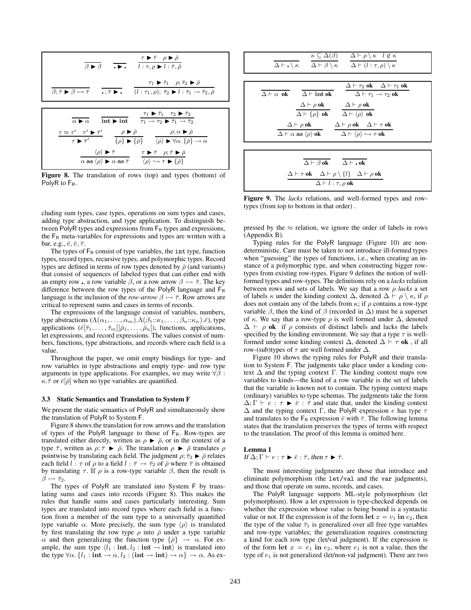

**Figure 8.** The translation of rows (top) and types (bottom) of PolyR to F<sub>R</sub>.

cluding sum types, case types, operations on sum types and cases, adding type abstraction, and type application. To distinguish between PolyR types and expressions from  $F_R$  types and expressions, the  $F_R$  meta-variables for expressions and types are written with a bar, e.g.,  $\bar{e}, \bar{v}, \bar{\tau}$ .

The types of  $F_R$  consist of type variables, the int type, function types, record types, recursive types, and polymorphic types. Record types are defined in terms of row types denoted by  $\bar{\rho}$  (and variants) that consist of sequences of labeled types that can either end with an empty row ., a row variable  $\beta$ , or a row arrow  $\beta \rightarrow \overline{\tau}$ . The key difference between the row types of the PolyR language and F<sup>R</sup> language is the inclusion of the *row-arrow*  $\beta \rightarrow \bar{\tau}$ . Row arrows are critical to represent sums and cases in terms of records.

The expressions of the language consist of variables, numbers, type abstractions  $(\Lambda(\alpha_1,\ldots,\alpha_m).\Lambda(\beta_1:\kappa_1,\ldots,\beta_n:\kappa_n).\bar{e})$ , type applications  $(\bar{e}[\bar{\tau}_1,\ldots,\bar{\tau}_m][\bar{\rho}_1,\ldots,\bar{\rho}_n])$ , functions, applications, let expressions, and record expressions. The values consist of numbers, functions, type abstractions, and records where each field is a value.

Throughout the paper, we omit empty bindings for type- and row variables in type abstractions and empty type- and row type arguments in type applications. For examples, we may write  $\forall \beta$ :  $\kappa.\bar{\tau}$  or  $\bar{e}[\bar{\rho}]$  when no type variables are quantified.

#### **3.3 Static Semantics and Translation to System F**

We present the static semantics of PolyR and simultaneously show the translation of PolyR to System F.

Figure 8 shows the translation for row arrows and the translation of types of the PolyR language to those of  $F_R$ . Row-types are translated either directly, written as  $\rho \triangleright \bar{\rho}$ , or in the context of a type  $\bar{\tau}$ , written as  $\rho$ ;  $\bar{\tau}$   $\triangleright$   $\bar{\rho}$ . The translation  $\rho$   $\triangleright$   $\bar{\rho}$  translates  $\rho$ pointwise by translating each field. The judgment  $\rho$ ;  $\bar{\tau}_2$   $\triangleright$   $\bar{\rho}$  relates each field  $l : \tau$  of  $\rho$  to a field  $l : \bar{\tau} \to \bar{\tau}_2$  of  $\bar{\rho}$  where  $\bar{\tau}$  is obtained by translating  $\tau$ . If  $\rho$  is a row-type variable  $\beta$ , then the result is  $\beta \rightarrowtail \bar{\tau}_2$ .

The types of PolyR are translated into System F by translating sums and cases into records (Figure 8). This makes the rules that handle sums and cases particularly interesting. Sum types are translated into record types where each field is a function from a member of the sum type to a universally quantified type variable  $\alpha$ . More precisely, the sum type  $\langle \rho \rangle$  is translated by first translating the row type  $\rho$  into  $\bar{\rho}$  under a type variable  $\alpha$  and then generalizing the function type  $\{\bar{\rho}\} \rightarrow \alpha$ . For example, the sum type  $\langle l_1 : \text{int}, l_2 : \text{int} \to \text{int} \rangle$  is translated into the type  $\forall \alpha$ . { $l_1 : \textbf{int} \rightarrow \alpha$ ,  $l_2 : (\textbf{int} \rightarrow \textbf{int}) \rightarrow \alpha$ }  $\rightarrow \alpha$ . As ex-

| $\kappa \subset \Delta(\beta)$ $\Delta \vdash \rho \setminus \kappa \quad l \notin \kappa$<br>$\Delta \vdash \cdot \setminus \kappa$ $\Delta \vdash \beta \setminus \kappa$ $\Delta \vdash (l : \tau, \rho) \setminus \kappa$ |
|-------------------------------------------------------------------------------------------------------------------------------------------------------------------------------------------------------------------------------|
|                                                                                                                                                                                                                               |
| $\Delta \vdash \tau_2$ ok $\Delta \vdash \tau_1$ ok<br>$\Delta \vdash \alpha$ ok $\Delta \vdash \text{int ok}$<br>$\Delta \vdash \tau_1 \rightarrow \tau_2$ ok                                                                |
| $\Delta \vdash \rho$ ok $\Delta \vdash \rho$ ok<br>$\Delta \vdash \{\rho\}$ ok $\Delta \vdash \langle \rho \rangle$ ok                                                                                                        |
| $\Delta \vdash \rho$ ok $\Delta \vdash \rho$ ok $\Delta \vdash \tau$ ok                                                                                                                                                       |
| $\Delta \vdash \alpha$ as $\langle \rho \rangle$ ok $\Delta \vdash \langle \rho \rangle \hookrightarrow \tau$ ok                                                                                                              |
|                                                                                                                                                                                                                               |
| $\Delta \vdash \beta$ ok $\Delta \vdash \cdot$ ok                                                                                                                                                                             |
| $\Delta \vdash \tau$ ok $\Delta \vdash \rho \setminus \{l\}$ $\Delta \vdash \rho$ ok                                                                                                                                          |

**Figure 9.** The *lacks* relations, and well-formed types and rowtypes (from top to bottom in that order) .

 $Δ ⊢ l : τ, ρ$  **ok** 

pressed by the  $\approx$  relation, we ignore the order of labels in rows (Appendix B).

Typing rules for the PolyR language (Figure 10) are nondeterministic. Care must be taken to not introduce ill-formed types when "guessing" the types of functions, i.e., when creating an instance of a polymorphic type, and when constructing bigger rowtypes from existing row-types. Figure 9 defines the notion of wellformed types and row-types. The definitions rely on a *lacks* relation between rows and sets of labels. We say that a row  $\rho$  *lacks* a set of labels  $\kappa$  under the kinding context  $\Delta$ , denoted  $\Delta \vdash \rho \setminus \kappa$ , if  $\rho$ does not contain any of the labels from  $\kappa$ ; if  $\rho$  contains a row-type variable  $\beta$ , then the kind of  $\beta$  (recorded in  $\Delta$ ) must be a superset of  $\kappa$ . We say that a row-type  $\rho$  is well formed under  $\Delta$ , denoted  $\Delta \vdash \rho$  ok if  $\rho$  consists of distinct labels and lacks the labels specified by the kinding environment. We say that a type  $\tau$  is wellformed under some kinding context  $\Delta$ , denoted  $\Delta \vdash \tau$  ok, if all row-(sub)types of  $\tau$  are well formed under  $\Delta$ .

Figure 10 shows the typing rules for PolyR and their translation to System F. The judgments take place under a kinding context Δ and the typing context Γ. The kinding context maps row variables to kinds—the kind of a row variable is the set of labels that the variable is known not to contain. The typing context maps (ordinary) variables to type schemas. The judgments take the form  $\Delta; \Gamma \vdash e : \tau \blacktriangleright \bar{e} : \bar{\tau}$  and state that, under the kinding context  $Δ$  and the typing context Γ, the PolyR expression *e* has type  $τ$ and translates to the  $F_R$  expression  $\bar{e}$  with  $\bar{\tau}$ . The following lemma states that the translation preserves the types of terms with respect to the translation. The proof of this lemma is omitted here.

#### **Lemma 1**

If  $\Delta; \Gamma \vdash e : \tau \blacktriangleright \overline{e} : \overline{\tau}$ , then  $\tau \blacktriangleright \overline{\tau}$ .

The most interesting judgments are those that introduce and eliminate polymorphism (the let/val and the var judgments), and those that operate on sums, records, and cases.

The PolyR language supports ML-style polymorphism (let polymorphism). How a let expression is type-checked depends on whether the expression whose value is being bound is a syntactic value or not. If the expression is of the form let  $x = v_1$  in  $e_2$ , then the type of the value  $\bar{\tau}_1$  is generalized over all free type variables and row-type variables; the generalization requires constructing a kind for each row type (let/val judgment). If the expression is of the form let  $x = e_1$  in  $e_2$ , where  $e_1$  is not a value, then the type of  $e_1$  is not generalized (let/non-val judgment). There are two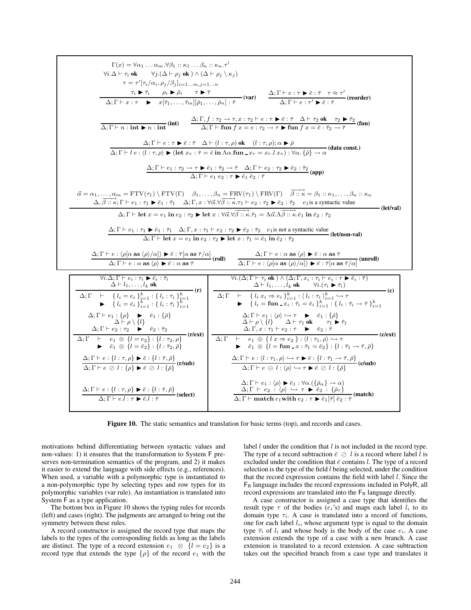| $\Gamma(x) = \forall \alpha_1 \ldots \alpha_m . \forall \beta_1 :: \kappa_1 \ldots \beta_n :: \kappa_n . \tau'$<br>$\forall i. \Delta \vdash \tau_i$ ok $\qquad \forall j. (\Delta \vdash \rho_j$ ok $) \wedge (\Delta \vdash \rho_j \setminus \kappa_j)$<br>$\tau = \tau'[\tau_i/\alpha_i, \rho_i/\beta_i]_{i=1m, j=1n}$<br>$\tau_i \triangleright \bar{\tau}_i$ $\rho_i \triangleright \bar{\rho}_i$ $\tau \triangleright \bar{\tau}$<br>$\Delta; \Gamma \vdash x : \tau \triangleright x : \bar{\tau} \triangleright x [\bar{\tau}_1, \ldots, \bar{\tau}_m][\bar{\rho}_1, \ldots, \bar{\rho}_n] : \bar{\tau}$ (var) $\Delta; \Gamma \vdash e : \tau \triangleright \bar{e} : \bar{\tau} \tau \approx \tau'$ (reorder)<br>$\frac{\Delta; \Gamma \vdash n : \text{int} \blacktriangleright n : \text{int} }{\Delta; \Gamma \vdash n : \text{int} \blacktriangleright n : \text{int} } \frac{\Delta; \Gamma, f : \tau_2 \rightarrow \tau, x : \tau_2 \vdash e : \tau \blacktriangleright \bar{e} : \bar{\tau} \quad \Delta \vdash \tau_2 \text{ ok} \quad \tau_2 \blacktriangleright \bar{\tau_2}}{\Delta; \Gamma \vdash \text{fun } f x = e : \tau_2 \rightarrow \tau \blacktriangleright \text{fun } f x = \bar{e} : \bar{\tau_2} \rightarrow \bar{\tau}} \text{ (fun)}$ |                                                                                                                                                                                                                                                                                                                                                                                                                                                                                                                                                                     |  |  |  |  |  |
|----------------------------------------------------------------------------------------------------------------------------------------------------------------------------------------------------------------------------------------------------------------------------------------------------------------------------------------------------------------------------------------------------------------------------------------------------------------------------------------------------------------------------------------------------------------------------------------------------------------------------------------------------------------------------------------------------------------------------------------------------------------------------------------------------------------------------------------------------------------------------------------------------------------------------------------------------------------------------------------------------------------------------------------------------------------------------------------------------------------------------------------------------------------------------------------------------------------------------------------------------------------------------|---------------------------------------------------------------------------------------------------------------------------------------------------------------------------------------------------------------------------------------------------------------------------------------------------------------------------------------------------------------------------------------------------------------------------------------------------------------------------------------------------------------------------------------------------------------------|--|--|--|--|--|
|                                                                                                                                                                                                                                                                                                                                                                                                                                                                                                                                                                                                                                                                                                                                                                                                                                                                                                                                                                                                                                                                                                                                                                                                                                                                            | $\cfrac{\Delta; \Gamma \vdash e : \tau \blacktriangleright \bar{e} : \bar{\tau} \quad \Delta \vdash (l : \tau, \rho) \text{ ok } \quad (l : \tau, \rho); \alpha \blacktriangleright \bar{\rho}}{\Delta; \Gamma \vdash l \, e : \langle l : \tau, \rho \rangle \blacktriangleright (\text{let } x_v : \bar{\tau} = \bar{e} \text{ in } \Delta \alpha \text{.fun } \_x_r = x_r.l \, x_v) : \forall \alpha \ldotp \{\bar{\rho}\} \rightarrow \alpha} (\text{data const.})$                                                                                             |  |  |  |  |  |
|                                                                                                                                                                                                                                                                                                                                                                                                                                                                                                                                                                                                                                                                                                                                                                                                                                                                                                                                                                                                                                                                                                                                                                                                                                                                            | $\frac{\Delta;\Gamma\vdash e_1:\tau_2\rightarrow\tau\blacktriangleright\bar{e}_1:\bar{\tau}_2\rightarrow\bar{\tau}\quad\Delta;\Gamma\vdash e_2:\tau_2\blacktriangleright\bar{e}_2:\bar{\tau}_2}{\Delta;\Gamma\vdash e_1\,e_2:\tau\blacktriangleright\bar{e}_1\,\bar{e}_2:\bar{\tau}}\,\,\text{(app)}$                                                                                                                                                                                                                                                               |  |  |  |  |  |
|                                                                                                                                                                                                                                                                                                                                                                                                                                                                                                                                                                                                                                                                                                                                                                                                                                                                                                                                                                                                                                                                                                                                                                                                                                                                            | $\vec{\alpha} = \alpha_1, \ldots, \alpha_m = \text{FTV}(\tau_1) \setminus \text{FTV}(\Gamma) \quad \beta_1, \ldots, \beta_n = \text{FRV}(\tau_1) \setminus \text{FRV}(\Gamma) \quad \overrightarrow{\beta::\kappa} = \beta_1 :: \kappa_1, \ldots, \beta_n :: \kappa_n$<br>$\Delta, \overrightarrow{\beta::\kappa}; \Gamma \vdash e_1 : \tau_1 \blacktriangleright \overline{e_1} : \overline{\tau_1} \quad \Delta; \Gamma, x : \forall \overline{\alpha} \forall \overrightarrow{\beta} : \kappa \cdot \tau_1 \vdash e_2 : \tau_2 \blacktriangleright$<br>(let/val) |  |  |  |  |  |
|                                                                                                                                                                                                                                                                                                                                                                                                                                                                                                                                                                                                                                                                                                                                                                                                                                                                                                                                                                                                                                                                                                                                                                                                                                                                            | $\Delta;\Gamma\vdash \mathrm{let}\; x = e_1\;\mathrm{in}\; e_2 : \tau_2\blacktriangleright \mathrm{let}\; x : \forall \vec{\alpha}. \forall \vec{\beta} :: \vec{\kappa}.\bar{\tau}_1 = \Lambda \vec{\alpha}.\Lambda \vec{\beta} :: \vec{\kappa}.\bar{e}_1\;\mathrm{in}\; \bar{e}_2 : \bar{\tau}_2$                                                                                                                                                                                                                                                                  |  |  |  |  |  |
| $\frac{\Delta; \Gamma \vdash e_1 : \tau_1 \blacktriangleright \bar{e}_1 : \bar{\tau}_1 \blacktriangle \bar{\tau}_1 \quad \Delta; \Gamma, x : \tau_1 \vdash e_2 : \tau_2 \blacktriangleright \bar{e}_2 : \bar{\tau}_2 \quad e_1 \text{ is not a syntactic value}}{\Delta; \Gamma \vdash \text{let } x = e_1 \text{ in } e_2 : \tau_2 \blacktriangleright \text{let } x : \bar{\tau}_1 = \bar{e}_1 \text{ in } \bar{e}_2 : \bar{\tau}_2}$ (let/non-val)                                                                                                                                                                                                                                                                                                                                                                                                                                                                                                                                                                                                                                                                                                                                                                                                                      |                                                                                                                                                                                                                                                                                                                                                                                                                                                                                                                                                                     |  |  |  |  |  |
| $\frac{\Delta; \Gamma \vdash e : \langle \rho [\alpha \text{ as } \langle \rho \rangle / \alpha] \rangle \blacktriangleright \bar{e} : \bar{\tau} [\alpha \text{ as } \bar{\tau} / \alpha]}{\Delta; \Gamma \vdash e : \alpha \text{ as } \langle \rho \rangle \blacktriangleright \bar{e} : \alpha \text{ as } \bar{\tau}} (\text{roll})$                                                                                                                                                                                                                                                                                                                                                                                                                                                                                                                                                                                                                                                                                                                                                                                                                                                                                                                                  | $\frac{\Delta; \Gamma \vdash e : \alpha \text{ as } \langle \rho \rangle \blacktriangleright \bar{e} : \alpha \text{ as } \bar{\tau}}{\Delta; \Gamma \vdash e : \langle \rho   \alpha \text{ as } \langle \rho \rangle / \alpha  } \blacktriangleright \bar{e} : \bar{\tau}   \alpha \text{ as } \bar{\tau} / \alpha  } \text{ (unroll)}$                                                                                                                                                                                                                           |  |  |  |  |  |
| $\forall i.\Delta;\Gamma\vdash e_i:\tau_i\blacktriangleright\bar{e}_i:\bar{\tau}_i$<br>$\Delta \vdash l_1, \ldots, l_k$ ok                                                                                                                                                                                                                                                                                                                                                                                                                                                                                                                                                                                                                                                                                                                                                                                                                                                                                                                                                                                                                                                                                                                                                 | $\forall i.(\Delta;\Gamma\vdash\tau_i\mathbf{ok})\wedge(\Delta;\Gamma,x_i:\tau_i\vdash e_i:\tau\blacktriangleright\bar{e}_i:\bar{\tau})$<br>$\Delta \vdash l_1, \ldots, l_k$ ok $\forall i. (\tau_i \blacktriangleright \bar{\tau}_i)$                                                                                                                                                                                                                                                                                                                              |  |  |  |  |  |
| – (r)<br>$\Delta;\Gamma$ $\vdash$ $\{l_i = e_i\}_{i=1}^k : \{l_i : \tau_i\}_{i=1}^k$<br>$\blacktriangleright$ $\{l_i = \bar{e}_i\}_{i=1}^k : \{l_i : \bar{\tau}_i\}_{i=1}^k$                                                                                                                                                                                                                                                                                                                                                                                                                                                                                                                                                                                                                                                                                                                                                                                                                                                                                                                                                                                                                                                                                               | $\label{eq:1} \begin{array}{ll} \begin{array}{ccc} \Delta;\Gamma & \vdash & \{ \ l_i \ x_i \Rightarrow e_i \ \}_{i=1}^k : \langle \ l_i : \tau_i \ \rangle_{i=1}^k \hookrightarrow \tau \\ \hspace{2cm} & \blacktriangleright & \{ \ l_i = \textbf{fun}_-x_i : \bar{\tau}_i = \bar{e}_i \ \}_{i=1}^k : \{ \ l_i : \bar{\tau}_i \rightarrow \bar{\tau} \ \}_{i=1}^k \end{array} \end{array}$                                                                                                                                                                         |  |  |  |  |  |
| $\Delta; \Gamma \vdash e_1 : \{\rho\}$ $\blacktriangleright$ $\bar{e}_1 : \{\bar{\rho}\}$<br>$\Delta \vdash \rho \setminus \{l\}$<br>$\Delta; \Gamma \vdash e_2 : \tau_2 \rightarrow \epsilon_2 : \bar{\tau}_2$<br>$\Delta; \Gamma \vdash e_1 \otimes \{l = e_2\} : \{l : \tau_2, \rho\}$ (r/ext)                                                                                                                                                                                                                                                                                                                                                                                                                                                                                                                                                                                                                                                                                                                                                                                                                                                                                                                                                                          | $\Delta; \Gamma \vdash e_1 : \langle \rho \rangle \hookrightarrow \tau \quad \blacktriangleright \quad \bar{e}_1 : \{\bar{\rho}\}\$<br>$\Delta \vdash \rho \setminus \{l\} \qquad \Delta \vdash \tau_1 \text{ ok} \qquad \tau_1 \blacktriangleright \bar{\tau}_1$ $\Delta; \Gamma, x : \tau_1 \vdash e_2 : \tau \qquad \blacktriangleright \quad \bar{e}_2 : \bar{\tau}$ $\Delta; \Gamma \quad \vdash \quad e_1 \oplus \{lx \Rightarrow e_2\} : \langle l : \tau_1, \rho \rangle \hookrightarrow \tau$                                                              |  |  |  |  |  |
| $\bar{e}_1 \otimes \{l = \bar{e}_2\}$ :                                                                                                                                                                                                                                                                                                                                                                                                                                                                                                                                                                                                                                                                                                                                                                                                                                                                                                                                                                                                                                                                                                                                                                                                                                    | – (c/ext)<br>$\triangleright$ $\bar{e}_1 \otimes \tilde{e}_1 = \text{fun } x : \bar{\tau}_1 = \bar{e}_2 \} : \{l : \bar{\tau}_1 \to \bar{\tau}, \bar{\rho}\}\$                                                                                                                                                                                                                                                                                                                                                                                                      |  |  |  |  |  |
| $\frac{\Delta; \Gamma \vdash e : \{l : \tau, \rho\} \blacktriangleright \bar{e} : \{l : \bar{\tau}, \bar{\rho}\}}{\Delta \cdot \Gamma \vdash e \ \vartriangle l : \{a\} \blacktriangleright \bar{e} \ \vartriangle l : \{\bar{\rho}\}} (\mathbf{r}/\mathbf{sub})$                                                                                                                                                                                                                                                                                                                                                                                                                                                                                                                                                                                                                                                                                                                                                                                                                                                                                                                                                                                                          | $\frac{\Delta;\Gamma\vdash e:\langle l:\tau_1,\rho\rangle\hookrightarrow\tau\blacktriangleright\bar{e}:\{l:\bar{\tau}_1\rightarrow\bar{\tau},\bar{\rho}\}}{\Delta:\Gamma\vdash e\ominus l:\langle\rho\rangle\hookrightarrow\tau\blacktriangleright\bar{e}\oslash l:\{\bar{\sigma}\}}$ (c/sub)                                                                                                                                                                                                                                                                       |  |  |  |  |  |

**Figure 10.** The static semantics and translation for basic terms (top), and records and cases.

motivations behind differentiating between syntactic values and non-values: 1) it ensures that the transformation to System F preserves non-termination semantics of the program, and 2) it makes it easier to extend the language with side effects (e.g., references). When used, a variable with a polymorphic type is instantiated to a non-polymorphic type by selecting types and row types for its polymorphic variables (var rule). An instantiation is translated into System F as a type application.

The bottom box in Figure 10 shows the typing rules for records (left) and cases (right). The judgments are arranged to bring out the symmetry between these rules.

A record constructor is assigned the record type that maps the labels to the types of the corresponding fields as long as the labels are distinct. The type of a record extension  $e_1 \otimes \{l = e_2\}$  is a record type that extends the type  $\{\rho\}$  of the record  $e_1$  with the label  $l$  under the condition that  $l$  is not included in the record type. The type of a record subtraction  $\bar{e} \oslash l$  is a record where label l is excluded under the condition that  $\bar{e}$  contains l. The type of a record selection is the type of the field l being selected, under the condition that the record expression contains the field with label  $l$ . Since the F<sup>R</sup> language includes the record expressions included in PolyR, all record expressions are translated into the  $F_R$  language directly.

A case constructor is assigned a case type that identifies the result type  $\tau$  of the bodies (e<sub>i</sub>'s) and maps each label  $l_i$  to its domain type  $\tau_i$ . A case is translated into a record of functions, one for each label  $l_i$ , whose argument type is equal to the domain type  $\bar{\tau}_i$  of  $l_i$  and whose body is the body of the case  $e_i$ . A case extension extends the type of a case with a new branch. A case extension is translated to a record extension. A case subtraction takes out the specified branch from a case type and translates it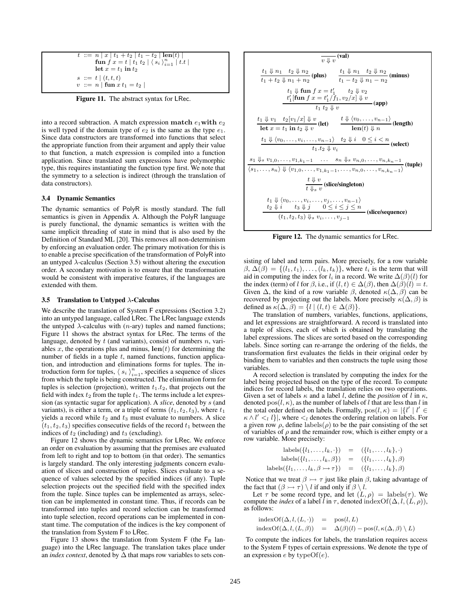$$
t \ ::= n \ | \ x \ | \ t_1 + t_2 \ | \ t_1 - t_2 \ | \ \textbf{len}(t) \ |
$$
\n
$$
f(x) = t \ | \ t_1 \ t_2 \ | \ \langle \ s_i \ \rangle_{i=1}^n \ | \ t.t \ |
$$
\n
$$
let \ x = t_1 \ \textbf{in} \ t_2
$$
\n
$$
s \ ::= t \ | \ (t, t, t)
$$
\n
$$
v \ ::= n \ | \ \textbf{fun} \ x \ t_1 = t_2 \ |
$$

**Figure 11.** The abstract syntax for LRec.

into a record subtraction. A match expression match  $e_1$  with  $e_2$ is well typed if the domain type of  $e_2$  is the same as the type  $e_1$ . Since data constructors are transformed into functions that select the appropriate function from their argument and apply their value to that function, a match expression is compiled into a function application. Since translated sum expressions have polymorphic type, this requires instantiating the function type first. We note that the symmetry to a selection is indirect (through the translation of data constructors).

#### **3.4 Dynamic Semantics**

The dynamic semantics of PolyR is mostly standard. The full semantics is given in Appendix A. Although the PolyR language is purely functional, the dynamic semantics is written with the same implicit threading of state in mind that is also used by the Definition of Standard ML [20]. This removes all non-determinism by enforcing an evaluation order. The primary motivation for this is to enable a precise specification of the transformation of PolyR into an untyped  $\lambda$ -calculus (Section 3.5) without altering the execution order. A secondary motivation is to ensure that the transformation would be consistent with imperative features, if the languages are extended with them.

#### **3.5 Translation to Untyped** λ**-Calculus**

We describe the translation of System F expressions (Section 3.2) into an untyped language, called LRec. The LRec language extends the untyped  $\lambda$ -calculus with (*n*-ary) tuples and named functions; Figure 11 shows the abstract syntax for LRec. The terms of the language, denoted by  $t$  (and variants), consist of numbers  $n$ , variables x, the operations plus and minus,  $\text{len}(t)$  for determining the number of fields in a tuple  $t$ , named functions, function application, and introduction and eliminations forms for tuples. The introduction form for tuples,  $\langle s_i \rangle_{i=1}^n$ , specifies a sequence of slices from which the tuple is being constructed. The elimination form for tuples is selection (projection), written  $t_1 \cdot t_2$ , that projects out the field with index  $t_2$  from the tuple  $t_1$ . The terms include a let expression (as syntactic sugar for application). A *slice*, denoted by s (and variants), is either a term, or a triple of terms  $(t_1, t_2, t_3)$ , where  $t_1$ yields a record while  $t_2$  and  $t_3$  must evaluate to numbers. A slice  $(t_1, t_2, t_3)$  specifies consecutive fields of the record  $t_1$  between the indices of  $t_2$  (including) and  $t_3$  (excluding).

Figure 12 shows the dynamic semantics for LRec. We enforce an order on evaluation by assuming that the premises are evaluated from left to right and top to bottom (in that order). The semantics is largely standard. The only interesting judgments concern evaluation of slices and construction of tuples. Slices evaluate to a sequence of values selected by the specified indices (if any). Tuple selection projects out the specified field with the specified index from the tuple. Since tuples can be implemented as arrays, selection can be implemented in constant time. Thus, if records can be transformed into tuples and record selection can be transformed into tuple selection, record operations can be implemented in constant time. The computation of the indices is the key component of the translation from System F to LRec.

Figure 13 shows the translation from System F (the  $F_R$  language) into the LRec language. The translation takes place under an *index context*, denoted by  $\Delta$  that maps row variables to sets con-



**Figure 12.** The dynamic semantics for LRec.

sisting of label and term pairs. More precisely, for a row variable  $\beta$ ,  $\Delta(\beta) = \{(l_1, t_1), \ldots, (l_k, t_k)\}\$ , where  $t_i$  is the term that will aid in computing the index for  $l_i$  in a record. We write  $\Delta(\beta)(l)$  for the index (term) of l for  $\beta$ , i.e., if  $(l, t) \in \Delta(\beta)$ , then  $\Delta(\beta)(l) = t$ . Given  $\Delta$ , the kind of a row variable  $\beta$ , denoted  $\kappa(\Delta, \beta)$  can be recovered by projecting out the labels. More precisely  $\kappa(\Delta, \beta)$  is defined as  $\kappa(\Delta, \beta) = \{l \mid (l, t) \in \Delta(\beta)\}.$ 

The translation of numbers, variables, functions, applications, and let expressions are straightforward. A record is translated into a tuple of slices, each of which is obtained by translating the label expressions. The slices are sorted based on the corresponding labels. Since sorting can re-arrange the ordering of the fields, the transformation first evaluates the fields in their original order by binding them to variables and then constructs the tuple using those variables.

A record selection is translated by computing the index for the label being projected based on the type of the record. To compute indices for record labels, the translation relies on two operations. Given a set of labels  $\kappa$  and a label l, define the *position* of l in  $\kappa$ , denoted  $pos(l, \kappa)$ , as the number of labels of l that are less than l in the total order defined on labels. Formally,  $pos(l, \kappa) = |\{l' | l' \in$  $\kappa \wedge l' \leq_l l$ , where  $\leq_l$  denotes the ordering relation on labels. For a given row  $\rho$ , define labels( $\rho$ ) to be the pair consisting of the set of variables of  $\rho$  and the remainder row, which is either empty or a row variable. More precisely:

$$
\begin{array}{rcl}\n\text{labels}(\{l_1, \ldots, l_k, \cdot\}) & = & (\{l_1, \ldots, l_k\}, \cdot) \\
\text{labels}(\{l_1, \ldots, l_k, \beta\}) & = & (\{l_1, \ldots, l_k\}, \beta) \\
\text{labels}(\{l_1, \ldots, l_k, \beta \rightarrow \tau\}) & = & (\{l_1, \ldots, l_k\}, \beta)\n\end{array}
$$

Notice that we treat  $\beta \rightarrow \tau$  just like plain  $\beta$ , taking advantage of the fact that  $(\beta \rightarrow \tau) \setminus l$  if and only if  $\beta \setminus l$ .

Let  $\tau$  be some record type, and let  $(L, \rho) = \text{labels}(\tau)$ . We compute the *index* of a label l in  $\tau$ , denoted indexOf( $\Delta$ , l,  $(L, \rho)$ ), as follows:

$$
indexOf(\Delta, l, (L, \cdot)) = pos(l, L)
$$
  
indexOf(\Delta, l, (L, \beta)) =  $\Delta(\beta)(l) - pos(l, \kappa(\Delta, \beta) \setminus L)$ 

To compute the indices for labels, the translation requires access to the System F types of certain expressions. We denote the type of an expression  $e$  by typeOf( $e$ ).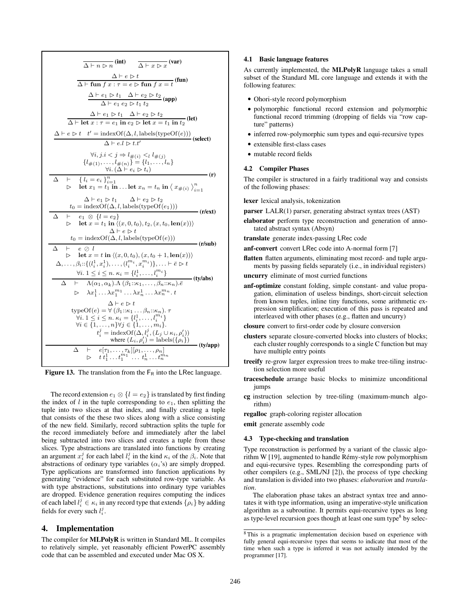$$
\frac{\Delta \vdash n \triangleright n}(\text{int}) \quad \frac{\Delta \vdash x \triangleright x}(\text{var})
$$
\n
$$
\frac{\Delta \vdash e \triangleright t}{\Delta \vdash \text{fun } f x : \tau = e \triangleright \text{fun } f x = t}(\text{fun})
$$
\n
$$
\frac{\Delta \vdash e_1 \triangleright t_1 \quad \Delta \vdash e_2 \triangleright t_2}{\Delta \vdash e_1 \triangleright t_1 \quad \Delta \vdash e_2 \triangleright t_2}(\text{app})
$$
\n
$$
\frac{\Delta \vdash e_1 \triangleright t_1 \quad \Delta \vdash e_2 \triangleright t_2}{\Delta \vdash \text{let } x : \tau = e_1 \text{ in } e_2 \triangleright \text{let } x = t_1 \text{ in } t_2}(\text{let})
$$
\n
$$
\frac{\Delta \vdash e \triangleright t \quad t' = \text{indexOf}(\Delta, l, \text{labels}(typeOf(e)))}{\Delta \vdash e.l \triangleright t_1'}(\Delta \vdash e_1 \triangleright t_1')
$$
\n
$$
\frac{\forall i, j, i < j \Rightarrow \downarrow_{\#(i)} < l \downarrow_{\#(j)}}{\forall i, (\Delta \vdash e_i \triangleright t_i)}(\Delta \vdash e_i \triangleright t_i)
$$
\n
$$
\frac{\forall i, j, i < j \Rightarrow \downarrow_{\#(i)} < l \downarrow_{\#(j)}}{\forall i, (\Delta \vdash e_i \triangleright t_i)}(\text{let } x_1 = t_1 \text{ in } ... \text{let } x_n = t_n \text{ in } \langle x_{\#(i)} \rangle_{i=1}^n)
$$
\n
$$
\Delta \vdash e_1 \triangleright \text{let } x_1 = t_1 \text{ in } ... \text{let } x_n = t_n \text{ in } \langle x_{\#(i)} \rangle_{i=1}^n
$$
\n
$$
\frac{\Delta \vdash e_1 \triangleright t_1 \quad \Delta \vdash e_2 \triangleright t_2}{\Delta \vdash e_1 \triangle \text{if } x = t_1 \text{ in } \langle (x, 0, t_0), t_2, (x, t_0, \text{len}(x)) \rangle}
$$
\n
$$
\frac{t_0 = \text{indexOf}(\Delta, l, \text{labels}(\text{typeOf
$$

**Figure 13.** The translation from the  $F_R$  into the LRec language.

The record extension  $e_1 \otimes \{l = e_2\}$  is translated by first finding the index of  $l$  in the tuple corresponding to  $e_1$ , then splitting the tuple into two slices at that index, and finally creating a tuple that consists of the these two slices along with a slice consisting of the new field. Similarly, record subtraction splits the tuple for the record immediately before and immediately after the label being subtracted into two slices and creates a tuple from these slices. Type abstractions are translated into functions by creating an argument  $x_i^j$  for each label  $l_i^j$  in the kind  $\kappa_i$  of the  $\beta_i$ . Note that abstractions of ordinary type variables  $(\alpha_i)$  are simply dropped. Type applications are transformed into function applications by generating "evidence" for each substituted row-type variable. As with type abstractions, substitutions into ordinary type variables are dropped. Evidence generation requires computing the indices of each label  $l_i^j \in \kappa_i$  in any record type that extends  $\{\rho_i\}$  by adding fields for every such  $l_i^j$ .

## **4. Implementation**

The compiler for **MLPolyR** is written in Standard ML. It compiles to relatively simple, yet reasonably efficient PowerPC assembly code that can be assembled and executed under Mac OS X.

## **4.1 Basic language features**

As currently implemented, the **MLPolyR** language takes a small subset of the Standard ML core language and extends it with the following features:

- Ohori-style record polymorphism
- polymorphic functional record extension and polymorphic functional record trimming (dropping of fields via "row capture" patterns)
- inferred row-polymorphic sum types and equi-recursive types
- extensible first-class cases
- mutable record fields

### **4.2 Compiler Phases**

The compiler is structured in a fairly traditional way and consists of the following phases:

**lexer** lexical analysis, tokenization

**parser** LALR(1) parser, generating abstract syntax trees (AST)

**elaborator** perform type reconstruction and generation of annotated abstract syntax (Absyn)

**translate** generate index-passing LRec code

- **anf-convert** convert LRec code into A-normal form [7]
- **flatten** flatten arguments, eliminating most record- and tuple arguments by passing fields separately (i.e., in individual registers)

**uncurry** eliminate of most curried functions

- **anf-optimize** constant folding, simple constant- and value propagation, elimination of useless bindings, short-circuit selection from known tuples, inline tiny functions, some arithmetic expression simplification; execution of this pass is repeated and interleaved with other phases (e.g., flatten and uncurry)
- **closure** convert to first-order code by closure conversion
- **clusters** separate closure-converted blocks into clusters of blocks; each cluster roughly corresponds to a single C function but may have multiple entry points
- **treeify** re-grow larger expression trees to make tree-tiling instruction selection more useful
- **traceschedule** arrange basic blocks to minimize unconditional jumps
- **cg** instruction selection by tree-tiling (maximum-munch algorithm)

**regalloc** graph-coloring register allocation

**emit** generate assembly code

#### **4.3 Type-checking and translation**

Type reconstruction is performed by a variant of the classic algorithm W [19], augmented to handle Rémy-style row polymorphism and equi-recursive types. Resembling the corresponding parts of other compilers (e.g., SML/NJ [2]), the process of type checking and translation is divided into two phases: *elaboration* and *translation*.

The elaboration phase takes an abstract syntax tree and annotates it with type information, using an imperative-style unification algorithm as a subroutine. It permits equi-recursive types as long as type-level recursion goes though at least one sum type $8$  by selec-

<sup>8</sup> This is a pragmatic implementation decision based on experience with fully general equi-recursive types that seems to indicate that most of the time when such a type is inferred it was not actually intended by the programmer [17].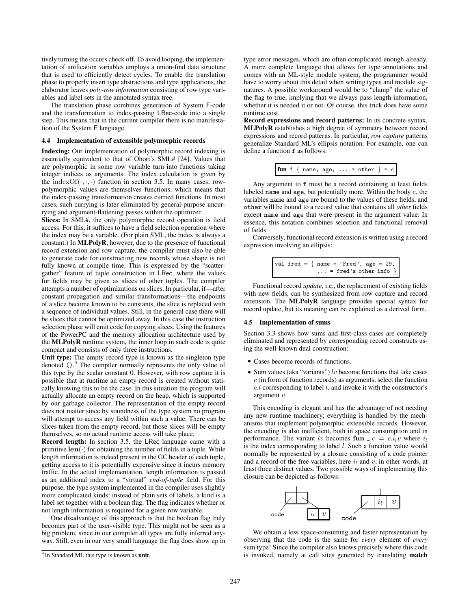tively turning the occurs check off. To avoid looping, the implementation of unification variables employs a union-find data structure that is used to efficiently detect cycles. To enable the translation phase to properly insert type abstractions and type applications, the elaborator leaves *poly-row information* consisting of row type variables and label sets in the annotated syntax tree.

The translation phase combines generation of System F-code and the transformation to index-passing LRec-code into a single step. This means that in the current compiler there is no manifestation of the System F language.

#### **4.4 Implementation of extensible polymorphic records**

**Indexing:** Our implementation of polymorphic record indexing is essentially equivalent to that of Ohori's SML# [24]. Values that are polymorphic in some row variable turn into functions taking integer indices as arguments. The index calculation is given by the index $\text{Of}(\cdot, \cdot, \cdot)$  function in section 3.5. In many cases, rowpolymorphic values are themselves functions, which means that the index-passing transformation creates curried functions. In most cases, such currying is later eliminated by general-purpose uncurrying and argument-flattening passes within the optimizer.

**Slices:** In SML#, the only polymorphic record operation is field access. For this, it suffices to have a field selection operation where the index may be a variable. (For plain SML, the index is always a constant.) In **MLPolyR**, however, due to the presence of functional record extension and row capture, the compiler must also be able to generate code for constructing new records whose shape is not fully known at compile time. This is expressed by the "scattergather" feature of tuple construction in LRec, where the values for fields may be given as slices of other tuples. The compiler attempts a number of optimizations on slices. In particular, if—after constant propagation and similar transformations—the endpoints of a slice become known to be constants, the slice is replaced with a sequence of individual values. Still, in the general case there will be slices that cannot be optimized away. In this case the instruction selection phase will emit code for copying slices. Using the features of the PowerPC and the memory allocation architecture used by the **MLPolyR** runtime system, the inner loop in such code is quite compact and consists of only three instructions.

**Unit type:** The empty record type is known as the singleton type denoted (). <sup>9</sup> The compiler normally represents the only value of this type by the scalar constant 0. However, with row capture it is possible that at runtime an empty record is created without statically knowing this to be the case. In this situation the program will actually allocate an empty record on the heap, which is supported by our garbage collector. The representation of the empty record does not matter since by soundness of the type system no program will attempt to access any field within such a value. There can be slices taken from the empty record, but those slices will be empty themselves, so no actual runtime access will take place.

**Record length:** In section 3.5, the LRec language came with a primitive  $len(\cdot)$  for obtaining the number of fields in a tuple. While length information is indeed present in the GC header of each tuple, getting access to it is potentially expensive since it incurs memory traffic. In the actual implementation, length information is passed as an additional index to a "virtual" *end-of-tuple* field. For this purpose, the type system implemented in the compiler uses slightly more complicated kinds: instead of plain sets of labels, a kind is a label set together with a boolean flag. The flag indicates whether or not length information is required for a given row variable.

One disadvantage of this approach is that the boolean flag truly becomes part of the user-visible type. This might not be seen as a big problem, since in our compiler all types are fully inferred anyway. Still, even in our very small language the flag does show up in type error messages, which are often complicated enough already. A more complete language that allows for type annotations and comes with an ML-style module system, the programmer would have to worry about this detail when writing types and module signatures. A possible workaround would be to "clamp" the value of the flag to true, implying that we always pass length information, whether it is needed it or not. Of course, this trick does have some runtime cost.

**Record expressions and record patterns:** In its concrete syntax, **MLPolyR** establishes a high degree of symmetry between record expressions and record patterns. In particular, *row capture* patterns generalize Standard ML's ellipsis notation. For example, one can define a function f as follows:



Any argument to f must be a record containing at least fields labeled name and age, but potentially more. Within the body e, the variables name and age are bound to the values of these fields, and other will be bound to a record value that contains all *other* fields except name and age that were present in the argument value. In essence, this notation combines selection and functional removal of fields.

Conversely, functional record extension is written using a record expression involving an ellipsis:

```
val fred = \{ name = "Fred", age = 29,
              \ldots = fred's other info \}
```
Functional record *update*, i.e., the replacement of existing fields with new fields, can be synthesized from row capture and record extension. The **MLPolyR** language provides special syntax for record update, but its meaning can be explained as a derived form.

#### **4.5 Implementation of sums**

Section 3.3 shows how sums and first-class cases are completely eliminated and represented by corresponding record constructs using the well-known dual construction:

- Cases become records of functions.
- Sum values (aka "variants") lv become functions that take cases  $c$  (in form of function records) as arguments, select the function c.l corresponding to label l, and invoke it with the constructor's argument v.

This encoding is elegant and has the advantage of not needing any new runtime machinery; everything is handled by the mechanisms that implement polymorphic extensible records. However, the encoding is also inefficient, both in space consumption and in performance. The variant lv becomes fun  $c = c.i<sub>l</sub>v$  where  $i<sub>l</sub>$ is the index corresponding to label  $l$ . Such a function value would normally be represented by a closure consisting of a code pointer and a record of the free variables, here  $i_l$  and v, in other words, at least three distinct values. Two possible ways of implementing this closure can be depicted as follows:



We obtain a less space-consuming and faster representation by observing that the code is the same for *every* element of *every* sum type! Since the compiler also knows precisely where this code is invoked, namely at call sites generated by translating **match**

<sup>9</sup> In Standard ML this type is known as **unit**.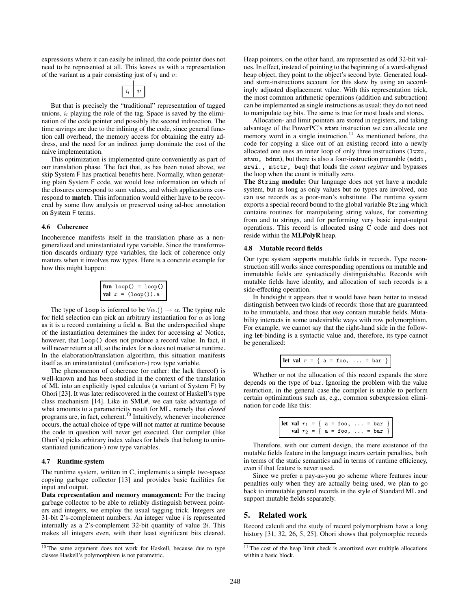expressions where it can easily be inlined, the code pointer does not need to be represented at all. This leaves us with a representation of the variant as a pair consisting just of  $i_l$  and v:

But that is precisely the "traditional" representation of tagged unions,  $i_l$  playing the role of the tag. Space is saved by the elimination of the code pointer and possibly the second indirection. The time savings are due to the inlining of the code, since general function call overhead, the memory access for obtaining the entry address, and the need for an indirect jump dominate the cost of the naive implementation.

This optimization is implemented quite conveniently as part of our translation phase. The fact that, as has been noted above, we skip System F has practical benefits here. Normally, when generating plain System F code, we would lose information on which of the closures correspond to sum values, and which applications correspond to **match**. This information would either have to be recovered by some flow analysis or preserved using ad-hoc annotation on System F terms.

#### **4.6 Coherence**

Incoherence manifests itself in the translation phase as a nongeneralized and uninstantiated type variable. Since the transformation discards ordinary type variables, the lack of coherence only matters when it involves row types. Here is a concrete example for how this might happen:

$$
\begin{array}{ll}\n\textbf{fun loop()} &= \text{loop()} \\
\textbf{val } x &= (\text{loop());}\n\end{array}
$$

The type of loop is inferred to be  $\forall \alpha$ . ()  $\rightarrow \alpha$ . The typing rule for field selection can pick an arbitrary instantiation for  $\alpha$  as long as it is a record containing a field a. But the underspecified shape of the instantiation determines the index for accessing a! Notice, however, that loop() does not produce a record value. In fact, it will never return at all, so the index for a does not matter at runtime. In the elaboration/translation algorithm, this situation manifests itself as an uninstantiated (unification-) row type variable.

The phenomenon of coherence (or rather: the lack thereof) is well-known and has been studied in the context of the translation of ML into an explicitly typed calculus (a variant of System F) by Ohori [23]. It was later rediscovered in the context of Haskell's type class mechanism [14]. Like in SML#, we can take advantage of what amounts to a parametricity result for ML, namely that *closed* programs are, in fact, coherent.<sup>10</sup> Intuitively, whenever incoherence occurs, the actual choice of type will not matter at runtime because the code in question will never get executed. Our compiler (like Ohori's) picks arbitrary index values for labels that belong to uninstantiated (unification-) row type variables.

#### **4.7 Runtime system**

The runtime system, written in C, implements a simple two-space copying garbage collector [13] and provides basic facilities for input and output.

**Data representation and memory management:** For the tracing garbage collector to be able to reliably distinguish between pointers and integers, we employ the usual tagging trick. Integers are 31-bit 2's-complement numbers. An integer value  $i$  is represented internally as a 2's-complement 32-bit quantity of value 2i. This makes all integers even, with their least significant bits cleared.

Heap pointers, on the other hand, are represented as odd 32-bit values. In effect, instead of pointing to the beginning of a word-aligned heap object, they point to the object's second byte. Generated loadand store-instructions account for this skew by using an accordingly adjusted displacement value. With this representation trick, the most common arithmetic operations (addition and subtraction) can be implemented as single instructions as usual; they do not need to manipulate tag bits. The same is true for most loads and stores.

Allocation- and limit pointers are stored in registers, and taking advantage of the PowerPC's stwu instruction we can allocate one memory word in a single instruction.<sup>11</sup> As mentioned before, the code for copying a slice out of an existing record into a newly allocated one uses an inner loop of only three instructions (lwzu, stwu, bdnz), but there is also a four-instruction preamble (addi, srwi., mtctr, beq) that loads the *count register* and bypasses the loop when the count is initially zero.

**The** String **module:** Our language does not yet have a module system, but as long as only values but no types are involved, one can use records as a poor-man's substitute. The runtime system exports a special record bound to the global variable String which contains routines for manipulating string values, for converting from and to strings, and for performing very basic input-output operations. This record is allocated using C code and does not reside within the **MLPolyR** heap.

#### **4.8 Mutable record fields**

Our type system supports mutable fields in records. Type reconstruction still works since corresponding operations on mutable and immutable fields are syntactically distinguishable. Records with mutable fields have identity, and allocation of such records is a side-effecting operation.

In hindsight it appears that it would have been better to instead distinguish between two kinds of records: those that are guaranteed to be immutable, and those that *may* contain mutable fields. Mutability interacts in some undesirable ways with row polymorphism. For example, we cannot say that the right-hand side in the following **let**-binding is a syntactic value and, therefore, its type cannot be generalized:

| let val $r = \{ a = f \circ o, \ldots = \text{bar} \}$ |  |
|--------------------------------------------------------|--|
|--------------------------------------------------------|--|

Whether or not the allocation of this record expands the store depends on the type of bar. Ignoring the problem with the value restriction, in the general case the compiler is unable to perform certain optimizations such as, e.g., common subexpression elimination for code like this:

|  |  |  | let val $r_1 = \{ a = f \circ o, \dots = bar \}$<br>val $r_2 = \{ a = f \circ o, \dots = bar \}$ |  |  |
|--|--|--|--------------------------------------------------------------------------------------------------|--|--|
|  |  |  |                                                                                                  |  |  |

Therefore, with our current design, the mere existence of the mutable fields feature in the language incurs certain penalties, both in terms of the static semantics and in terms of runtime efficiency, even if that feature is never used.

Since we prefer a pay-as-you go scheme where features incur penalties only when they are actually being used, we plan to go back to immutable general records in the style of Standard ML and support mutable fields separately.

## **5. Related work**

Record calculi and the study of record polymorphism have a long history [31, 32, 26, 5, 25]. Ohori shows that polymorphic records

 $10$  The same argument does not work for Haskell, because due to type classes Haskell's polymorphism is not parametric.

<sup>&</sup>lt;sup>11</sup> The cost of the heap limit check is amortized over multiple allocations within a basic block.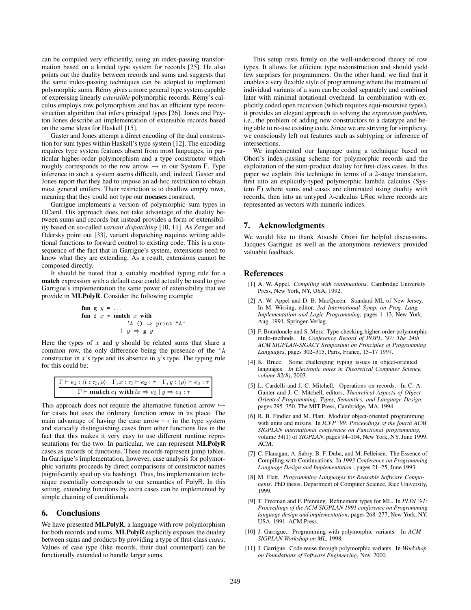can be compiled very efficiently, using an index-passing transformation based on a kinded type system for records [25]. He also points out the duality between records and sums and suggests that the same index-passing techniques can be adopted to implement polymorphic sums. Rémy gives a more general type system capable of expressing linearly *extensible* polymorphic records. Rémy's calculus employs row polymorphism and has an efficient type reconstruction algorithm that infers principal types [26]. Jones and Peyton Jones describe an implementation of extensible records based on the same ideas for Haskell [15].

Gaster and Jones attempt a direct encoding of the dual construction for sum types within Haskell's type system [12]. The encoding requires type system features absent from most languages, in particular higher-order polymorphism and a type constructor which roughly corresponds to the row arrow  $\rightarrow$  in our System F. Type inference in such a system seems difficult, and, indeed, Gaster and Jones report that they had to impose an ad-hoc restriction to obtain most general unifiers. Their restriction is to disallow empty rows, meaning that they could not type our **nocases** construct.

Garrigue implements a version of polymorphic sum types in OCaml. His approach does not take advantage of the duality between sums and records but instead provides a form of extensibility based on so-called *variant dispatching* [10, 11]. As Zenger and Odersky point out [33], variant dispatching requires writing additional functions to forward control to existing code. This is a consequence of the fact that in Garrigue's system, extensions need to know what they are extending. As a result, extensions cannot be composed directly.

It should be noted that a suitably modified typing rule for a **match** expression with a default case could actually be used to give Garrigue's implementation the same power of extensibility that we provide in **MLPolyR**. Consider the following example:

from g 
$$
y = \ldots
$$

\nfrom f  $x = \text{match } x$  with

\n'A  $() \Rightarrow \text{print "A"}$ 

\n|  $y \Rightarrow \text{g} y$ 

Here the types of  $x$  and  $y$  should be related sums that share a common row, the only difference being the presence of the 'A constructor in  $x$ 's type and its absence in  $y$ 's type. The typing rule for this could be:

$$
\frac{\Gamma\vdash e_1:\langle l:\tau_l,\rho\rangle\quad\Gamma,x:\tau_l\vdash e_2:\tau\quad\Gamma,y:\langle\rho\rangle\vdash e_3:\tau}{\Gamma\vdash\mathbf{match}\;e_1\;\mathbf{with}\;lx\Rightarrow e_2\mid y\Rightarrow e_3:\tau}
$$

This approach does not require the alternative function arrow  $\hookrightarrow$ for cases but uses the ordinary function arrow in its place. The main advantage of having the case arrow  $\hookrightarrow$  in the type system and statically distinguishing cases from other functions lies in the fact that this makes it very easy to use different runtime representations for the two. In particular, we can represent **MLPolyR** cases as records of functions. These records represent jump tables. In Garrigue's implementation, however, case analysis for polymorphic variants proceeds by direct comparisons of constructor names (significantly sped up via hashing). Thus, his implementation technique essentially corresponds to our semantics of PolyR. In this setting, extending functions by extra cases can be implemented by simple chaining of conditionals.

## **6. Conclusions**

We have presented **MLPolyR**, a language with row polymorphism for both records and sums. **MLPolyR** explicitly exposes the duality between sums and products by providing a type of first-class *cases*. Values of case type (like records, their dual counterpart) can be functionally extended to handle larger sums.

This setup rests firmly on the well-understood theory of row types. It allows for efficient type reconstruction and should yield few surprises for programmers. On the other hand, we find that it enables a very flexible style of programming where the treatment of individual variants of a sum can be coded separately and combined later with minimal notational overhead. In combination with explicitly coded open recursion (which requires equi-recursive types), it provides an elegant approach to solving the *expression problem*, i.e., the problem of adding new constructors to a datatype and being able to re-use existing code. Since we are striving for simplicity, we consciously left out features such as subtyping or inference of intersections.

We implemented our language using a technique based on Ohori's index-passing scheme for polymorphic records and the exploitation of the sum-product duality for first-class cases. In this paper we explain this technique in terms of a 2-stage translation, first into an explicitly-typed polymorphic lambda calculus (System F) where sums and cases are eliminated using duality with records, then into an untyped  $\lambda$ -calculus LRec where records are represented as vectors with numeric indices.

## **7. Acknowledgments**

We would like to thank Atsushi Ohori for helpful discussions. Jacques Garrigue as well as the anonymous reviewers provided valuable feedback.

## **References**

- [1] A. W. Appel. *Compiling with continuations*. Cambridge University Press, New York, NY, USA, 1992.
- [2] A. W. Appel and D. B. MacQueen. Standard ML of New Jersey. In M. Wirsing, editor, *3rd International Symp. on Prog. Lang. Implementation and Logic Programming*, pages 1–13, New York, Aug. 1991. Springer-Verlag.
- [3] F. Bourdoncle and S. Merz. Type-checking higher-order polymorphic multi-methods. In *Conference Record of POPL '97: The 24th ACM SIGPLAN-SIGACT Symposium on Principles of Programming Languages*, pages 302–315, Paris, France, 15–17 1997.
- [4] K. Bruce. Some challenging typing issues in object-oriented languages. *In Electronic notes in Theoretical Computer Science, volume 82(8)*, 2003.
- [5] L. Cardelli and J. C. Mitchell. Operations on records. In C. A. Gunter and J. C. Mitchell, editors, *Theoretical Aspects of Object-Oriented Programming: Types, Semantics, and Language Design*, pages 295–350. The MIT Press, Cambridge, MA, 1994.
- [6] R. B. Findler and M. Flatt. Modular object-oriented programming with units and mixins. In *ICFP '99: Proceedings of the fourth ACM SIGPLAN international conference on Functional programming*, volume 34(1) of *SIGPLAN*, pages 94–104, New York, NY, June 1999. ACM.
- [7] C. Flanagan, A. Sabry, B. F. Duba, and M. Felleisen. The Essence of Compiling with Continuations. In *1993 Conference on Programming Language Design and Implementation.*, pages 21–25, June 1993.
- [8] M. Flatt. *Programming Languages for Reusable Software Components*. PhD thesis, Department of Computer Science, Rice University, 1999.
- [9] T. Freeman and F. Pfenning. Refinement types for ML. In *PLDI '91: Proceedings of the ACM SIGPLAN 1991 conference on Programming language design and implementation*, pages 268–277, New York, NY, USA, 1991. ACM Press.
- [10] J. Garrigue. Programming with polymorphic variants. In *ACM SIGPLAN Workshop on ML*, 1998.
- [11] J. Garrigue. Code reuse through polymorphic variants. In *Workshop on Foundations of Software Engineering*, Nov. 2000.